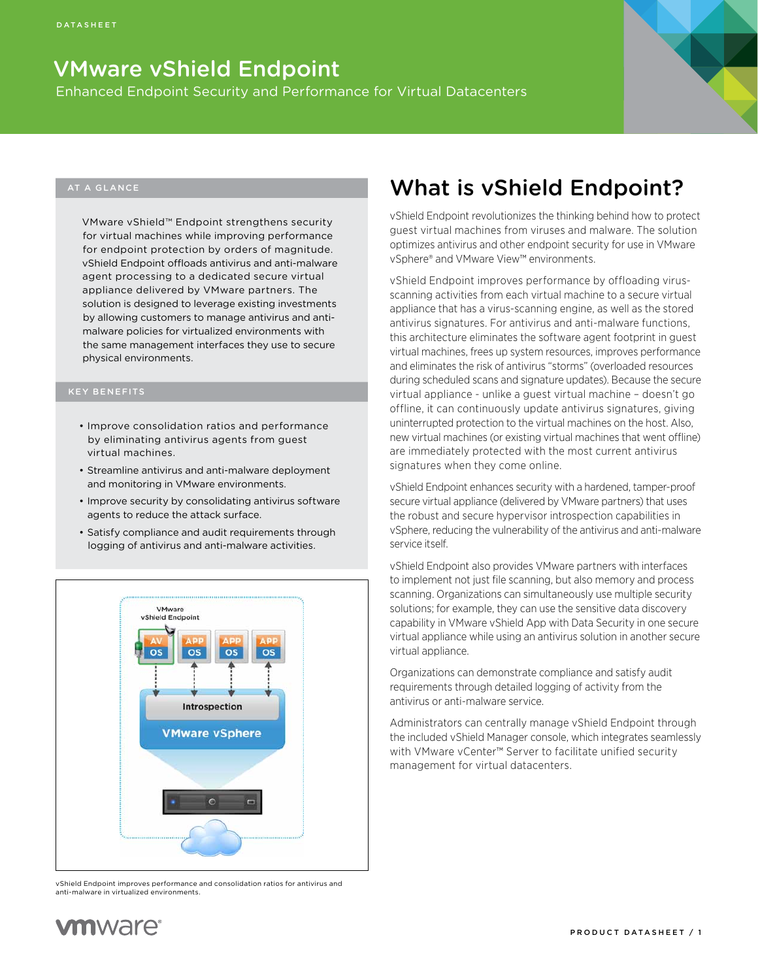### VMware vShield Endpoint

Enhanced Endpoint Security and Performance for Virtual Datacenters

#### AT A GLANCE

VMware vShield™ Endpoint strengthens security for virtual machines while improving performance for endpoint protection by orders of magnitude. vShield Endpoint offloads antivirus and anti-malware agent processing to a dedicated secure virtual appliance delivered by VMware partners. The solution is designed to leverage existing investments by allowing customers to manage antivirus and antimalware policies for virtualized environments with the same management interfaces they use to secure physical environments.

- • Improve consolidation ratios and performance by eliminating antivirus agents from guest virtual machines.
- Streamline antivirus and anti-malware deployment and monitoring in VMware environments.
- Improve security by consolidating antivirus software agents to reduce the attack surface.
- Satisfy compliance and audit requirements through logging of antivirus and anti-malware activities.



vShield Endpoint improves performance and consolidation ratios for antivirus and anti-malware in virtualized environments.

### What is vShield Endpoint?

vShield Endpoint revolutionizes the thinking behind how to protect guest virtual machines from viruses and malware. The solution optimizes antivirus and other endpoint security for use in VMware vSphere® and VMware View™ environments.

vShield Endpoint improves performance by offloading virusscanning activities from each virtual machine to a secure virtual appliance that has a virus-scanning engine, as well as the stored antivirus signatures. For antivirus and anti-malware functions, this architecture eliminates the software agent footprint in guest virtual machines, frees up system resources, improves performance and eliminates the risk of antivirus "storms" (overloaded resources during scheduled scans and signature updates). Because the secure virtual appliance - unlike a guest virtual machine – doesn't go offline, it can continuously update antivirus signatures, giving uninterrupted protection to the virtual machines on the host. Also, new virtual machines (or existing virtual machines that went offline) are immediately protected with the most current antivirus signatures when they come online.

vShield Endpoint enhances security with a hardened, tamper-proof secure virtual appliance (delivered by VMware partners) that uses the robust and secure hypervisor introspection capabilities in vSphere, reducing the vulnerability of the antivirus and anti-malware service itself.

vShield Endpoint also provides VMware partners with interfaces to implement not just file scanning, but also memory and process scanning. Organizations can simultaneously use multiple security solutions; for example, they can use the sensitive data discovery capability in VMware vShield App with Data Security in one secure virtual appliance while using an antivirus solution in another secure virtual appliance.

Organizations can demonstrate compliance and satisfy audit requirements through detailed logging of activity from the antivirus or anti-malware service.

Administrators can centrally manage vShield Endpoint through the included vShield Manager console, which integrates seamlessly with VMware vCenter™ Server to facilitate unified security management for virtual datacenters.

### **ym**ware<sup>®</sup>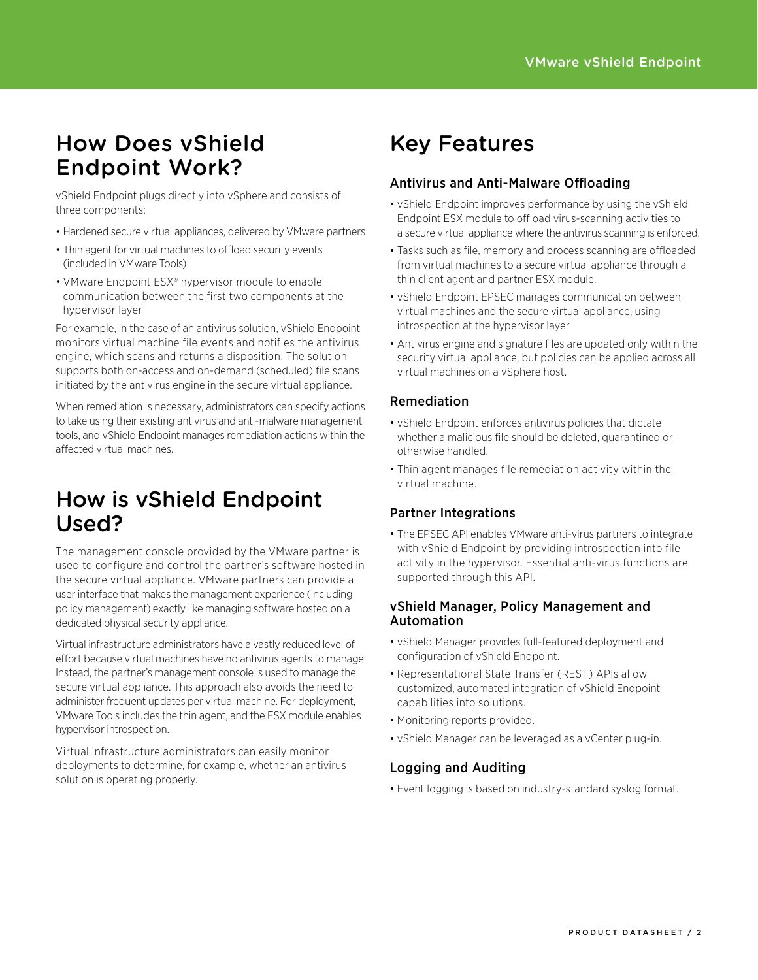### How Does vShield Endpoint Work?

vShield Endpoint plugs directly into vSphere and consists of three components:

- Hardened secure virtual appliances, delivered by VMware partners
- Thin agent for virtual machines to offload security events (included in VMware Tools)
- VMware Endpoint ESX® hypervisor module to enable communication between the first two components at the hypervisor layer

For example, in the case of an antivirus solution, vShield Endpoint monitors virtual machine file events and notifies the antivirus engine, which scans and returns a disposition. The solution supports both on-access and on-demand (scheduled) file scans initiated by the antivirus engine in the secure virtual appliance.

When remediation is necessary, administrators can specify actions to take using their existing antivirus and anti-malware management tools, and vShield Endpoint manages remediation actions within the affected virtual machines.

### How is vShield Endpoint Used?

The management console provided by the VMware partner is used to configure and control the partner's software hosted in the secure virtual appliance. VMware partners can provide a user interface that makes the management experience (including policy management) exactly like managing software hosted on a dedicated physical security appliance.

Virtual infrastructure administrators have a vastly reduced level of effort because virtual machines have no antivirus agents to manage. Instead, the partner's management console is used to manage the secure virtual appliance. This approach also avoids the need to administer frequent updates per virtual machine. For deployment, VMware Tools includes the thin agent, and the ESX module enables hypervisor introspection.

Virtual infrastructure administrators can easily monitor deployments to determine, for example, whether an antivirus solution is operating properly.

# Key Features

### Antivirus and Anti-Malware Offloading

- vShield Endpoint improves performance by using the vShield Endpoint ESX module to offload virus-scanning activities to a secure virtual appliance where the antivirus scanning is enforced.
- Tasks such as file, memory and process scanning are offloaded from virtual machines to a secure virtual appliance through a thin client agent and partner ESX module.
- vShield Endpoint EPSEC manages communication between virtual machines and the secure virtual appliance, using introspection at the hypervisor layer.
- Antivirus engine and signature files are updated only within the security virtual appliance, but policies can be applied across all virtual machines on a vSphere host.

### Remediation

- • vShield Endpoint enforces antivirus policies that dictate whether a malicious file should be deleted, quarantined or otherwise handled.
- Thin agent manages file remediation activity within the virtual machine.

#### Partner Integrations

• The EPSEC API enables VMware anti-virus partners to integrate with vShield Endpoint by providing introspection into file activity in the hypervisor. Essential anti-virus functions are supported through this API.

#### vShield Manager, Policy Management and Automation

- • vShield Manager provides full-featured deployment and configuration of vShield Endpoint.
- Representational State Transfer (REST) APIs allow customized, automated integration of vShield Endpoint capabilities into solutions.
- Monitoring reports provided.
- • vShield Manager can be leveraged as a vCenter plug-in.

### Logging and Auditing

• Event logging is based on industry-standard syslog format.